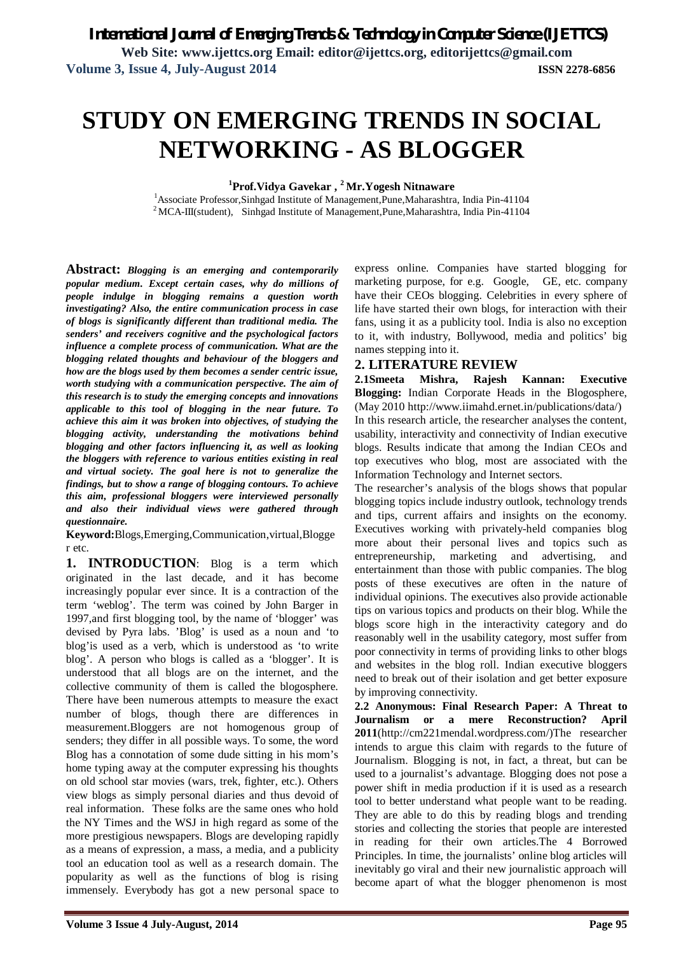# **STUDY ON EMERGING TRENDS IN SOCIAL NETWORKING - AS BLOGGER**

**<sup>1</sup>Prof.Vidya Gavekar , <sup>2</sup>Mr.Yogesh Nitnaware**

<sup>1</sup>Associate Professor,Sinhgad Institute of Management,Pune,Maharashtra, India Pin-41104 <sup>2</sup>MCA-III(student), Sinhgad Institute of Management,Pune,Maharashtra, India Pin-41104

**Abstract:** *Blogging is an emerging and contemporarily popular medium. Except certain cases, why do millions of people indulge in blogging remains a question worth investigating? Also, the entire communication process in case of blogs is significantly different than traditional media. The senders' and receivers cognitive and the psychological factors influence a complete process of communication. What are the blogging related thoughts and behaviour of the bloggers and how are the blogs used by them becomes a sender centric issue, worth studying with a communication perspective. The aim of this research is to study the emerging concepts and innovations applicable to this tool of blogging in the near future. To achieve this aim it was broken into objectives, of studying the blogging activity, understanding the motivations behind blogging and other factors influencing it, as well as looking the bloggers with reference to various entities existing in real and virtual society. The goal here is not to generalize the findings, but to show a range of blogging contours. To achieve this aim, professional bloggers were interviewed personally and also their individual views were gathered through questionnaire.*

**Keyword:**Blogs,Emerging,Communication,virtual,Blogge r etc.

**1. INTRODUCTION**: Blog is a term which originated in the last decade, and it has become increasingly popular ever since. It is a contraction of the term 'weblog'. The term was coined by John Barger in 1997,and first blogging tool, by the name of 'blogger' was devised by Pyra labs. 'Blog' is used as a noun and 'to blog'is used as a verb, which is understood as 'to write blog'. A person who blogs is called as a 'blogger'. It is understood that all blogs are on the internet, and the collective community of them is called the blogosphere. There have been numerous attempts to measure the exact number of blogs, though there are differences in measurement.Bloggers are not homogenous group of senders; they differ in all possible ways. To some, the word Blog has a connotation of some dude sitting in his mom's home typing away at the computer expressing his thoughts on old school star movies (wars, trek, fighter, etc.). Others view blogs as simply personal diaries and thus devoid of real information. These folks are the same ones who hold the NY Times and the WSJ in high regard as some of the more prestigious newspapers. Blogs are developing rapidly as a means of expression, a mass, a media, and a publicity tool an education tool as well as a research domain. The popularity as well as the functions of blog is rising immensely. Everybody has got a new personal space to

express online. Companies have started blogging for marketing purpose, for e.g. Google, GE, etc. company have their CEOs blogging. Celebrities in every sphere of life have started their own blogs, for interaction with their fans, using it as a publicity tool. India is also no exception to it, with industry, Bollywood, media and politics' big names stepping into it.

#### **2. LITERATURE REVIEW**

**2.1Smeeta Mishra, Rajesh Kannan: Executive Blogging:** Indian Corporate Heads in the Blogosphere, (May 2010 http://www.iimahd.ernet.in/publications/data/) In this research article, the researcher analyses the content, usability, interactivity and connectivity of Indian executive blogs. Results indicate that among the Indian CEOs and top executives who blog, most are associated with the

Information Technology and Internet sectors. The researcher's analysis of the blogs shows that popular blogging topics include industry outlook, technology trends and tips, current affairs and insights on the economy. Executives working with privately-held companies blog more about their personal lives and topics such as entrepreneurship, marketing and advertising, and entertainment than those with public companies. The blog posts of these executives are often in the nature of individual opinions. The executives also provide actionable tips on various topics and products on their blog. While the blogs score high in the interactivity category and do reasonably well in the usability category, most suffer from poor connectivity in terms of providing links to other blogs and websites in the blog roll. Indian executive bloggers need to break out of their isolation and get better exposure by improving connectivity.

**2.2 Anonymous: Final Research Paper: A Threat to Journalism or a mere Reconstruction? April 2011**(http://cm221mendal.wordpress.com/)The researcher intends to argue this claim with regards to the future of Journalism. Blogging is not, in fact, a threat, but can be used to a journalist's advantage. Blogging does not pose a power shift in media production if it is used as a research tool to better understand what people want to be reading. They are able to do this by reading blogs and trending stories and collecting the stories that people are interested in reading for their own articles.The 4 Borrowed Principles. In time, the journalists' online blog articles will inevitably go viral and their new journalistic approach will become apart of what the blogger phenomenon is most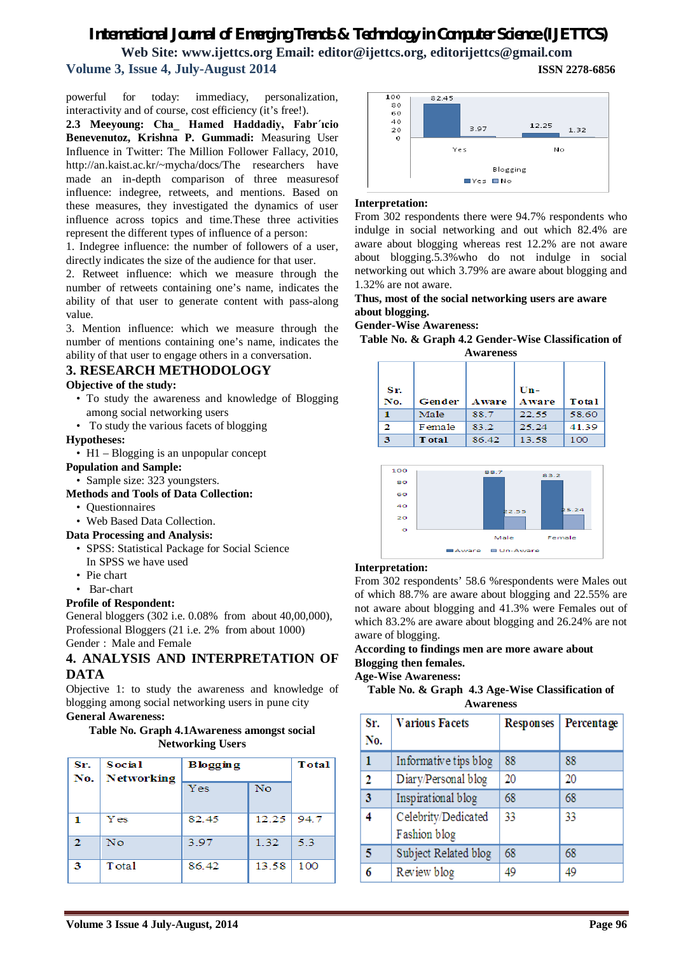# *International Journal of Emerging Trends & Technology in Computer Science (IJETTCS)* **Web Site: www.ijettcs.org Email: editor@ijettcs.org, editorijettcs@gmail.com Volume 3, Issue 4, July-August 2014 ISSN 2278-6856**

powerful for today: immediacy, personalization, interactivity and of course, cost efficiency (it's free!).

**2.3 Meeyoung: Cha\_ Hamed Haddadiy, Fabr´ıcio Benevenutoz, Krishna P. Gummadi:** Measuring User Influence in Twitter: The Million Follower Fallacy, 2010, http://an.kaist.ac.kr/~mycha/docs/The researchers have made an in-depth comparison of three measuresof influence: indegree, retweets, and mentions. Based on these measures, they investigated the dynamics of user influence across topics and time.These three activities represent the different types of influence of a person:

1. Indegree influence: the number of followers of a user, directly indicates the size of the audience for that user.

2. Retweet influence: which we measure through the number of retweets containing one's name, indicates the ability of that user to generate content with pass-along value.

3. Mention influence: which we measure through the number of mentions containing one's name, indicates the ability of that user to engage others in a conversation.

### **3. RESEARCH METHODOLOGY**

#### **Objective of the study:**

- To study the awareness and knowledge of Blogging among social networking users
- To study the various facets of blogging

#### **Hypotheses:**

• H1 – Blogging is an unpopular concept

#### **Population and Sample:**

- Sample size: 323 youngsters.
- **Methods and Tools of Data Collection:**
	- Questionnaires
	- Web Based Data Collection.

#### **Data Processing and Analysis:**

- SPSS: Statistical Package for Social Science In SPSS we have used
- Pie chart
- Bar-chart

#### **Profile of Respondent:**

General bloggers (302 i.e. 0.08% from about 40,00,000), Professional Bloggers (21 i.e. 2% from about 1000) Gender : Male and Female

## **4. ANALYSIS AND INTERPRETATION OF DATA**

Objective 1: to study the awareness and knowledge of blogging among social networking users in pune city **General Awareness:**

#### **Table No. Graph 4.1Awareness amongst social Networking Users**

| Sr.<br>$\mathbf{No.}$ | Social<br><b>Networking</b> | <b>Blogging</b> |           | <b>Total</b> |
|-----------------------|-----------------------------|-----------------|-----------|--------------|
|                       |                             | Yes             | <b>No</b> |              |
|                       | <b>Y</b> es                 | 82.45           | 12.25     | 94.7         |
| 2                     | No                          | 3.97            | 1.32      | 53           |
| з                     | T otal                      | 86.42           | 13.58     | 100          |



#### **Interpretation:**

From 302 respondents there were 94.7% respondents who indulge in social networking and out which 82.4% are aware about blogging whereas rest 12.2% are not aware about blogging.5.3%who do not indulge in social networking out which 3.79% are aware about blogging and 1.32% are not aware.

**Thus, most of the social networking users are aware about blogging.** 

**Gender-Wise Awareness:**

**Table No. & Graph 4.2 Gender-Wise Classification of Awareness**

| Sr. |               |       | $Un -$       |       |
|-----|---------------|-------|--------------|-------|
| No. | Gender        | Aware | <b>Aware</b> | Total |
|     | Male          | 88.7  | 22.55        | 58.60 |
| 2   | Female        | 83.2  | 25.24        | 41.39 |
| з   | <b>T</b> otal | 86.42 | 13.58        | 100   |



#### **Interpretation:**

From 302 respondents' 58.6 %respondents were Males out of which 88.7% are aware about blogging and 22.55% are not aware about blogging and 41.3% were Females out of which 83.2% are aware about blogging and 26.24% are not aware of blogging.

#### **According to findings men are more aware about Blogging then females.**

#### **Age-Wise Awareness:**

|                  | Table No. & Graph 4.3 Age-Wise Classification of |  |  |
|------------------|--------------------------------------------------|--|--|
| <b>Awareness</b> |                                                  |  |  |

| Sr.<br>No. | <b>Various Facets</b>               | <b>Responses</b> | Percentage |
|------------|-------------------------------------|------------------|------------|
| 1          | Informative tips blog               | 88               | 88         |
| 2          | Diary/Personal blog                 | 20               | 20         |
| 3          | Inspirational blog                  | 68               | 68         |
| 4          | Celebrity/Dedicated<br>Fashion blog | 33               | 33         |
| 5          | Subject Related blog                | 68               | 68         |
| 6          | Review blog                         | 49               | 49         |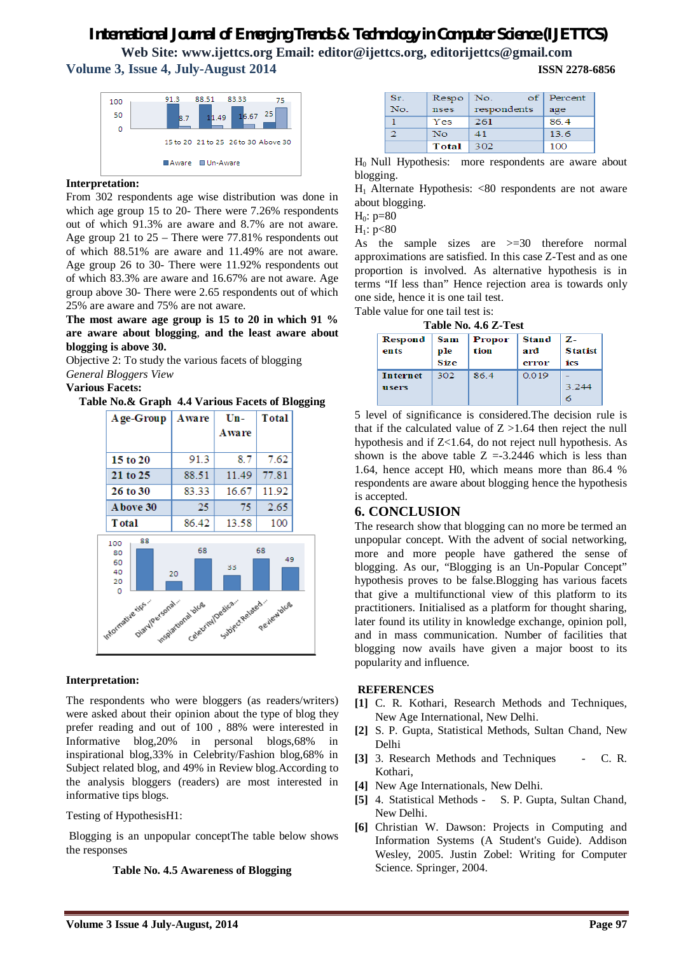# *International Journal of Emerging Trends & Technology in Computer Science (IJETTCS)*

**Web Site: www.ijettcs.org Email: editor@ijettcs.org, editorijettcs@gmail.com Volume 3, Issue 4, July-August 2014 ISSN 2278-6856**



#### **Interpretation:**

From 302 respondents age wise distribution was done in which age group 15 to 20- There were 7.26% respondents out of which 91.3% are aware and 8.7% are not aware. Age group 21 to 25 – There were 77.81% respondents out of which 88.51% are aware and 11.49% are not aware. Age group 26 to 30- There were 11.92% respondents out of which 83.3% are aware and 16.67% are not aware. Age group above 30- There were 2.65 respondents out of which 25% are aware and 75% are not aware.

**The most aware age group is 15 to 20 in which 91 % are aware about blogging**, **and the least aware about blogging is above 30.**

Objective 2: To study the various facets of blogging *General Bloggers View*

#### **Various Facets:**

### **Table No.& Graph 4.4 Various Facets of Blogging**



#### **Interpretation:**

The respondents who were bloggers (as readers/writers) were asked about their opinion about the type of blog they prefer reading and out of 100 , 88% were interested in Informative blog,20% in personal blogs,68% in inspirational blog,33% in Celebrity/Fashion blog,68% in Subject related blog, and 49% in Review blog.According to the analysis bloggers (readers) are most interested in informative tips blogs.

#### Testing of HypothesisH1:

Blogging is an unpopular conceptThe table below shows the responses

#### **Table No. 4.5 Awareness of Blogging**

| Sr. | Respo | оf<br>No.   | Percent |
|-----|-------|-------------|---------|
| No. | nses  | respondents | age     |
|     | Yes   | 261         | 86.4    |
|     | No    | 41          | 13.6    |
|     | Total | 302         | 100     |

H0 Null Hypothesis: more respondents are aware about blogging.

 $H_1$  Alternate Hypothesis: <80 respondents are not aware about blogging.

 $H_0: p=80$ 

 $H_1: p<80$ 

As the sample sizes are >=30 therefore normal approximations are satisfied. In this case Z-Test and as one proportion is involved. As alternative hypothesis is in terms "If less than" Hence rejection area is towards only one side, hence it is one tail test.

Table value for one tail test is:

| <b>Respond</b><br>ents   | ple<br><b>Size</b> | Sam   Propor  <br>tion | Stand<br>ard<br>error | $Z-$<br><b>Statist</b><br>ics |
|--------------------------|--------------------|------------------------|-----------------------|-------------------------------|
| <b>Internet</b><br>users | 302                | 86.4                   | 0.019                 | 3.244                         |

5 level of significance is considered.The decision rule is that if the calculated value of  $Z > 1.64$  then reject the null hypothesis and if Z<1.64, do not reject null hypothesis. As shown is the above table  $Z = -3.2446$  which is less than 1.64, hence accept H0, which means more than 86.4 % respondents are aware about blogging hence the hypothesis is accepted.

#### **6. CONCLUSION**

The research show that blogging can no more be termed an unpopular concept. With the advent of social networking, more and more people have gathered the sense of blogging. As our, "Blogging is an Un-Popular Concept" hypothesis proves to be false.Blogging has various facets that give a multifunctional view of this platform to its practitioners. Initialised as a platform for thought sharing, later found its utility in knowledge exchange, opinion poll, and in mass communication. Number of facilities that blogging now avails have given a major boost to its popularity and influence.

#### **REFERENCES**

- **[1]** C. R. Kothari, Research Methods and Techniques, New Age International, New Delhi.
- **[2]** S. P. Gupta, Statistical Methods, Sultan Chand, New Delhi
- [3] 3. Research Methods and Techniques C. R. Kothari,
- **[4]** New Age Internationals, New Delhi.
- **[5]** 4. Statistical Methods S. P. Gupta, Sultan Chand, New Delhi.
- **[6]** Christian W. Dawson: Projects in Computing and Information Systems (A Student's Guide). Addison Wesley, 2005. Justin Zobel: Writing for Computer Science. Springer, 2004.